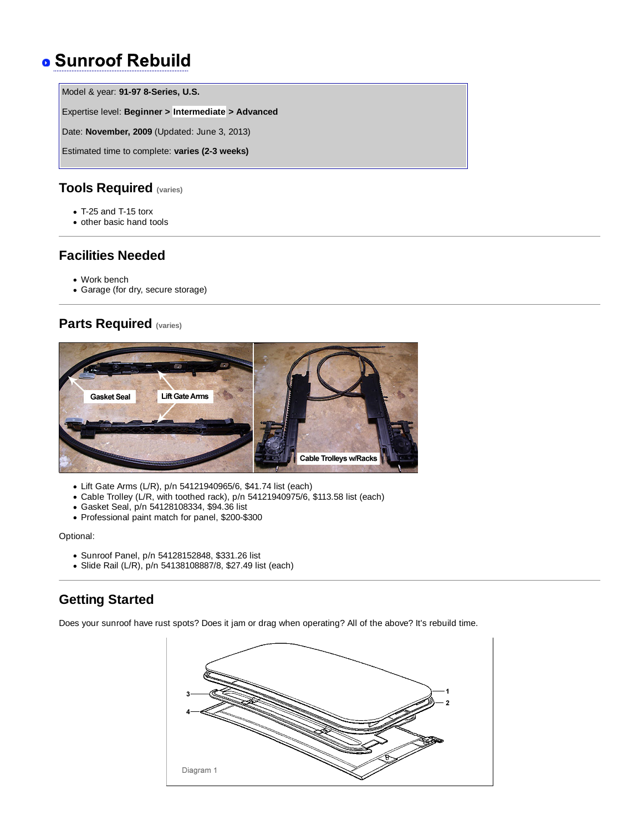# **. Sunroof Rebuild**

Model & year: **91-97 8-Series, U.S.**

Expertise level: **Beginner > Intermediate > Advanced**

Date: **November, 2009** (Updated: June 3, 2013)

Estimated time to complete: **varies (2-3 weeks)**

# **Tools Required (varies)**

- T-25 and T-15 torx
- other basic hand tools

# **Facilities Needed**

- Work bench
- Garage (for dry, secure storage)

# **Parts Required (varies)**



- Lift Gate Arms (L/R), p/n 54121940965/6, \$41.74 list (each)
- Cable Trolley (L/R, with toothed rack), p/n 54121940975/6, \$113.58 list (each)
- Gasket Seal, p/n 54128108334, \$94.36 list
- Professional paint match for panel, \$200-\$300

Optional:

- Sunroof Panel, p/n 54128152848, \$331.26 list
- Slide Rail (L/R), p/n 54138108887/8, \$27.49 list (each)

# **Getting Started**

Does your sunroof have rust spots? Does it jam or drag when operating? All of the above? It's rebuild time.

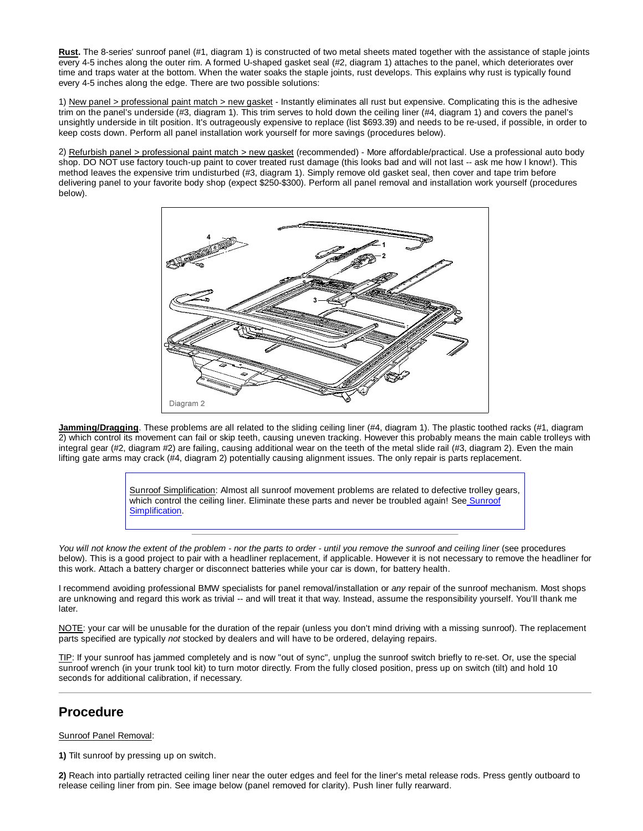**Rust.** The 8-series' sunroof panel (#1, diagram 1) is constructed of two metal sheets mated together with the assistance of staple joints every 4-5 inches along the outer rim. A formed U-shaped gasket seal (#2, diagram 1) attaches to the panel, which deteriorates over time and traps water at the bottom. When the water soaks the staple joints, rust develops. This explains why rust is typically found every 4-5 inches along the edge. There are two possible solutions:

1) New panel > professional paint match > new gasket - Instantly eliminates all rust but expensive. Complicating this is the adhesive trim on the panel's underside (#3, diagram 1). This trim serves to hold down the ceiling liner (#4, diagram 1) and covers the panel's unsightly underside in tilt position. It's outrageously expensive to replace (list \$693.39) and needs to be re-used, if possible, in order to keep costs down. Perform all panel installation work yourself for more savings (procedures below).

2) Refurbish panel > professional paint match > new gasket (recommended) - More affordable/practical. Use a professional auto body shop. DO NOT use factory touch-up paint to cover treated rust damage (this looks bad and will not last -- ask me how I know!). This method leaves the expensive trim undisturbed (#3, diagram 1). Simply remove old gasket seal, then cover and tape trim before delivering panel to your favorite body shop (expect \$250-\$300). Perform all panel removal and installation work yourself (procedures below).



**Jamming/Dragging**. These problems are all related to the sliding ceiling liner (#4, diagram 1). The plastic toothed racks (#1, diagram 2) which control its movement can fail or skip teeth, causing uneven tracking. However this probably means the main cable trolleys with integral gear (#2, diagram #2) are failing, causing additional wear on the teeth of the metal slide rail (#3, diagram 2). Even the main lifting gate arms may crack (#4, diagram 2) potentially causing alignment issues. The only repair is parts replacement.

> Sunroof Simplification: Almost all sunroof movement problems are related to defective trolley gears, which control the ceiling liner. Eliminate these parts and never be troubled again! See Sunroof Simplification.

*You will not know the extent of the problem - nor the parts to order - until you remove the sunroof and ceiling liner (see procedures* below). This is a good project to pair with a headliner replacement, if applicable. However it is not necessary to remove the headliner for this work. Attach a battery charger or disconnect batteries while your car is down, for battery health.

I recommend avoiding professional BMW specialists for panel removal/installation or *any* repair of the sunroof mechanism. Most shops are unknowing and regard this work as trivial -- and will treat it that way. Instead, assume the responsibility yourself. You'll thank me later.

NOTE: your car will be unusable for the duration of the repair (unless you don't mind driving with a missing sunroof). The replacement parts specified are typically *not* stocked by dealers and will have to be ordered, delaying repairs.

TIP: If your sunroof has jammed completely and is now "out of sync", unplug the sunroof switch briefly to re-set. Or, use the special sunroof wrench (in your trunk tool kit) to turn motor directly. From the fully closed position, press up on switch (tilt) and hold 10 seconds for additional calibration, if necessary.

### **Procedure**

#### Sunroof Panel Removal:

**1)** Tilt sunroof by pressing up on switch.

**2)** Reach into partially retracted ceiling liner near the outer edges and feel for the liner's metal release rods. Press gently outboard to release ceiling liner from pin. See image below (panel removed for clarity). Push liner fully rearward.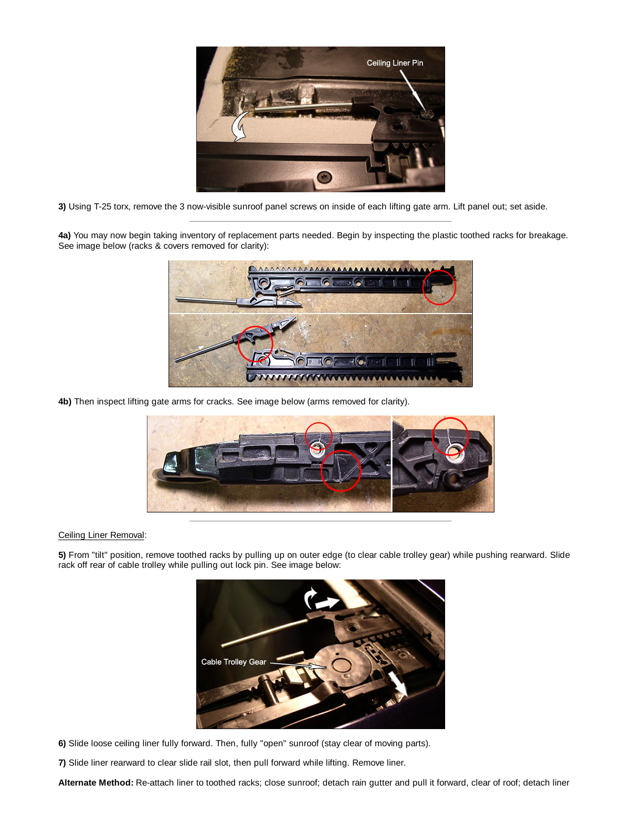

**3)** Using T-25 torx, remove the 3 now-visible sunroof panel screws on inside of each lifting gate arm. Lift panel out; set aside.

**4a)** You may now begin taking inventory of replacement parts needed. Begin by inspecting the plastic toothed racks for breakage. See image below (racks & covers removed for clarity):



**4b)** Then inspect lifting gate arms for cracks. See image below (arms removed for clarity).



### Ceiling Liner Removal:

**5)** From "tilt" position, remove toothed racks by pulling up on outer edge (to clear cable trolley gear) while pushing rearward. Slide rack off rear of cable trolley while pulling out lock pin. See image below:



- **6)** Slide loose ceiling liner fully forward. Then, fully "open" sunroof (stay clear of moving parts).
- **7)** Slide liner rearward to clear slide rail slot, then pull forward while lifting. Remove liner.

**Alternate Method:** Re-attach liner to toothed racks; close sunroof; detach rain gutter and pull it forward, clear of roof; detach liner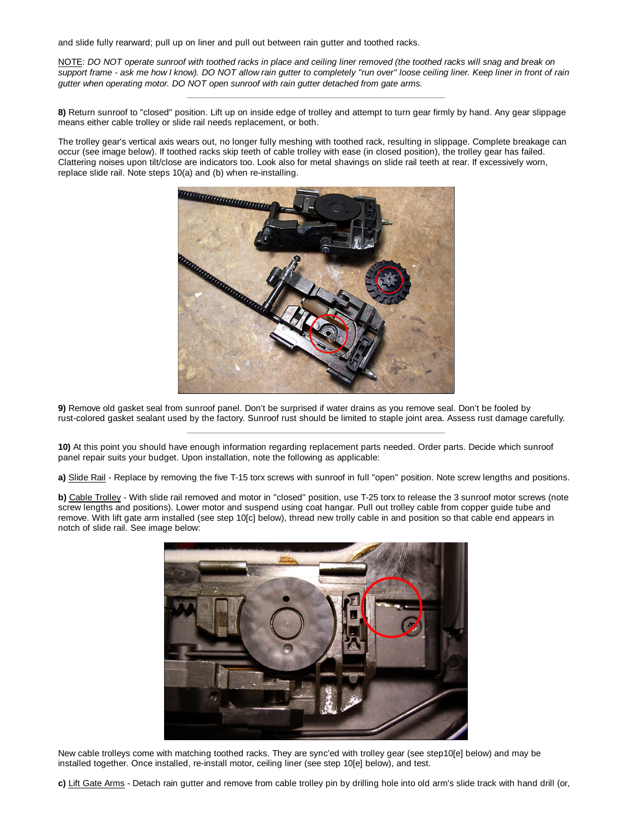and slide fully rearward; pull up on liner and pull out between rain gutter and toothed racks.

NOTE: *DO NOT operate sunroof with toothed racks in place and ceiling liner removed (the toothed racks will snag and break on support frame - ask me how I know). DO NOT allow rain gutter to completely "run over" loose ceiling liner. Keep liner in front of rain gutter when operating motor. DO NOT open sunroof with rain gutter detached from gate arms.*

**8)** Return sunroof to "closed" position. Lift up on inside edge of trolley and attempt to turn gear firmly by hand. Any gear slippage means either cable trolley or slide rail needs replacement, or both.

The trolley gear's vertical axis wears out, no longer fully meshing with toothed rack, resulting in slippage. Complete breakage can occur (see image below). If toothed racks skip teeth of cable trolley with ease (in closed position), the trolley gear has failed. Clattering noises upon tilt/close are indicators too. Look also for metal shavings on slide rail teeth at rear. If excessively worn, replace slide rail. Note steps 10(a) and (b) when re-installing.



**9)** Remove old gasket seal from sunroof panel. Don't be surprised if water drains as you remove seal. Don't be fooled by rust-colored gasket sealant used by the factory. Sunroof rust should be limited to staple joint area. Assess rust damage carefully.

**10)** At this point you should have enough information regarding replacement parts needed. Order parts. Decide which sunroof panel repair suits your budget. Upon installation, note the following as applicable:

**a)** Slide Rail - Replace by removing the five T-15 torx screws with sunroof in full "open" position. Note screw lengths and positions.

**b)** Cable Trolley - With slide rail removed and motor in "closed" position, use T-25 torx to release the 3 sunroof motor screws (note screw lengths and positions). Lower motor and suspend using coat hangar. Pull out trolley cable from copper guide tube and remove. With lift gate arm installed (see step 10[c] below), thread new trolly cable in and position so that cable end appears in notch of slide rail. See image below:



New cable trolleys come with matching toothed racks. They are sync'ed with trolley gear (see step10[e] below) and may be installed together. Once installed, re-install motor, ceiling liner (see step 10[e] below), and test.

**c)** Lift Gate Arms - Detach rain gutter and remove from cable trolley pin by drilling hole into old arm's slide track with hand drill (or,